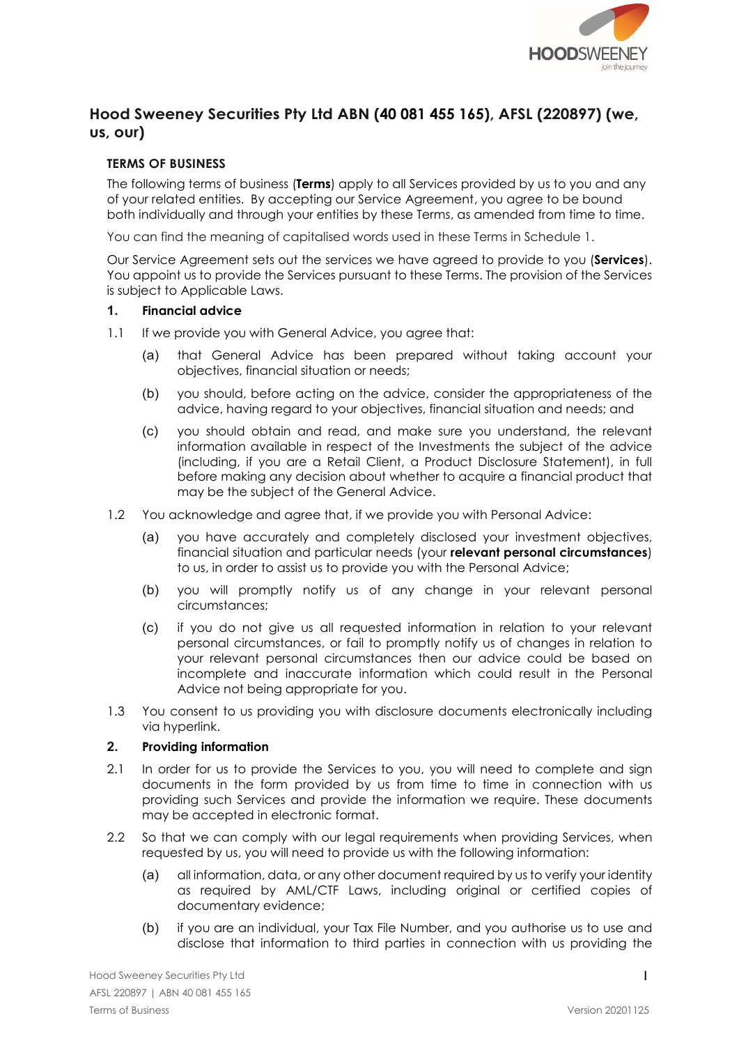

# Hood Sweeney Securities Pty Ltd ABN (40 081 455 165), AFSL (220897) (we, us, our)

# TERMS OF BUSINESS

The following terms of business (Terms) apply to all Services provided by us to you and any of your related entities. By accepting our Service Agreement, you agree to be bound both individually and through your entities by these Terms, as amended from time to time.

You can find the meaning of capitalised words used in these Terms in Schedule 1.

Our Service Agreement sets out the services we have agreed to provide to you (Services). You appoint us to provide the Services pursuant to these Terms. The provision of the Services is subject to Applicable Laws.

## 1. Financial advice

- 1.1 If we provide you with General Advice, you agree that:
	- (a) that General Advice has been prepared without taking account your objectives, financial situation or needs;
	- (b) you should, before acting on the advice, consider the appropriateness of the advice, having regard to your objectives, financial situation and needs; and
	- (c) you should obtain and read, and make sure you understand, the relevant information available in respect of the Investments the subject of the advice (including, if you are a Retail Client, a Product Disclosure Statement), in full before making any decision about whether to acquire a financial product that may be the subject of the General Advice.
- 1.2 You acknowledge and agree that, if we provide you with Personal Advice:
	- (a) you have accurately and completely disclosed your investment objectives, financial situation and particular needs (your relevant personal circumstances) to us, in order to assist us to provide you with the Personal Advice;
	- (b) you will promptly notify us of any change in your relevant personal circumstances;
	- (c) if you do not give us all requested information in relation to your relevant personal circumstances, or fail to promptly notify us of changes in relation to your relevant personal circumstances then our advice could be based on incomplete and inaccurate information which could result in the Personal Advice not being appropriate for you.
- 1.3 You consent to us providing you with disclosure documents electronically including via hyperlink.

### 2. Providing information

- 2.1 In order for us to provide the Services to you, you will need to complete and sign documents in the form provided by us from time to time in connection with us providing such Services and provide the information we require. These documents may be accepted in electronic format.
- 2.2 So that we can comply with our legal requirements when providing Services, when requested by us, you will need to provide us with the following information:
	- (a) all information, data, or any other document required by us to verify your identity as required by AML/CTF Laws, including original or certified copies of documentary evidence;
	- (b) if you are an individual, your Tax File Number, and you authorise us to use and disclose that information to third parties in connection with us providing the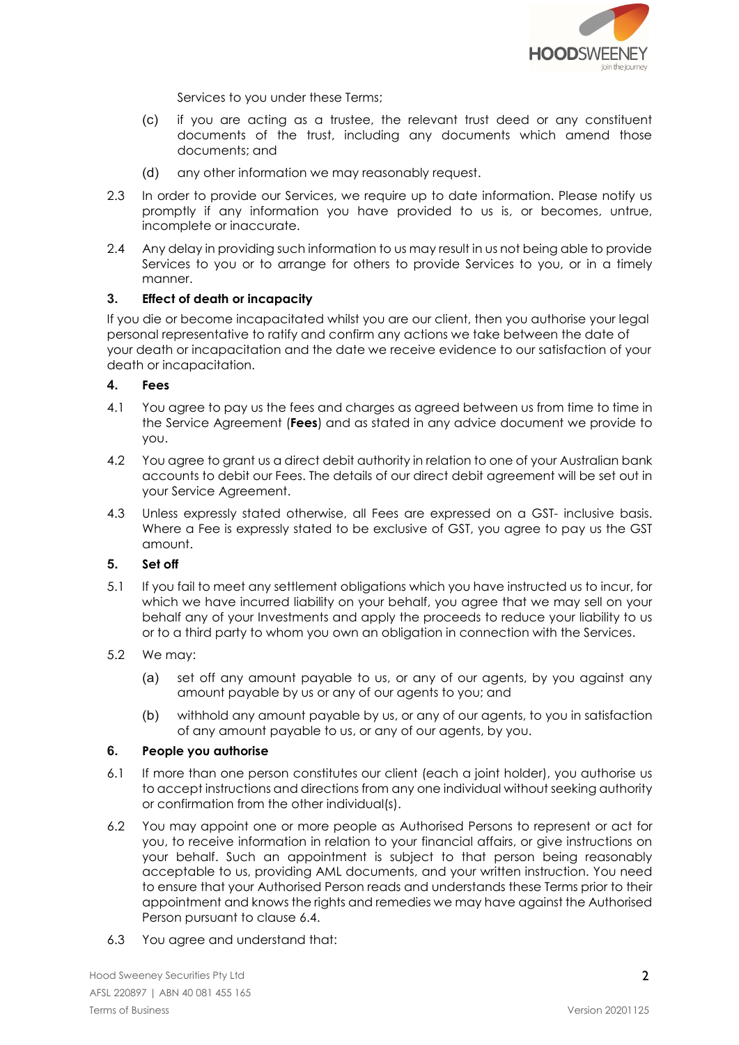

Services to you under these Terms;

- (c) if you are acting as a trustee, the relevant trust deed or any constituent documents of the trust, including any documents which amend those documents; and
- (d) any other information we may reasonably request.
- 2.3 In order to provide our Services, we require up to date information. Please notify us promptly if any information you have provided to us is, or becomes, untrue, incomplete or inaccurate.
- 2.4 Any delay in providing such information to us may result in us not being able to provide Services to you or to arrange for others to provide Services to you, or in a timely manner.

## 3. Effect of death or incapacity

If you die or become incapacitated whilst you are our client, then you authorise your legal personal representative to ratify and confirm any actions we take between the date of your death or incapacitation and the date we receive evidence to our satisfaction of your death or incapacitation.

### 4. Fees

- 4.1 You agree to pay us the fees and charges as agreed between us from time to time in the Service Agreement (Fees) and as stated in any advice document we provide to you.
- 4.2 You agree to grant us a direct debit authority in relation to one of your Australian bank accounts to debit our Fees. The details of our direct debit agreement will be set out in your Service Agreement.
- 4.3 Unless expressly stated otherwise, all Fees are expressed on a GST- inclusive basis. Where a Fee is expressly stated to be exclusive of GST, you agree to pay us the GST amount.

## 5. Set off

- 5.1 If you fail to meet any settlement obligations which you have instructed us to incur, for which we have incurred liability on your behalf, you agree that we may sell on your behalf any of your Investments and apply the proceeds to reduce your liability to us or to a third party to whom you own an obligation in connection with the Services.
- 5.2 We may:
	- (a) set off any amount payable to us, or any of our agents, by you against any amount payable by us or any of our agents to you; and
	- (b) withhold any amount payable by us, or any of our agents, to you in satisfaction of any amount payable to us, or any of our agents, by you.

### 6. People you authorise

- 6.1 If more than one person constitutes our client (each a joint holder), you authorise us to accept instructions and directions from any one individual without seeking authority or confirmation from the other individual(s).
- 6.2 You may appoint one or more people as Authorised Persons to represent or act for you, to receive information in relation to your financial affairs, or give instructions on your behalf. Such an appointment is subject to that person being reasonably acceptable to us, providing AML documents, and your written instruction. You need to ensure that your Authorised Person reads and understands these Terms prior to their appointment and knows the rights and remedies we may have against the Authorised Person pursuant to clause 6.4.
- 6.3 You agree and understand that: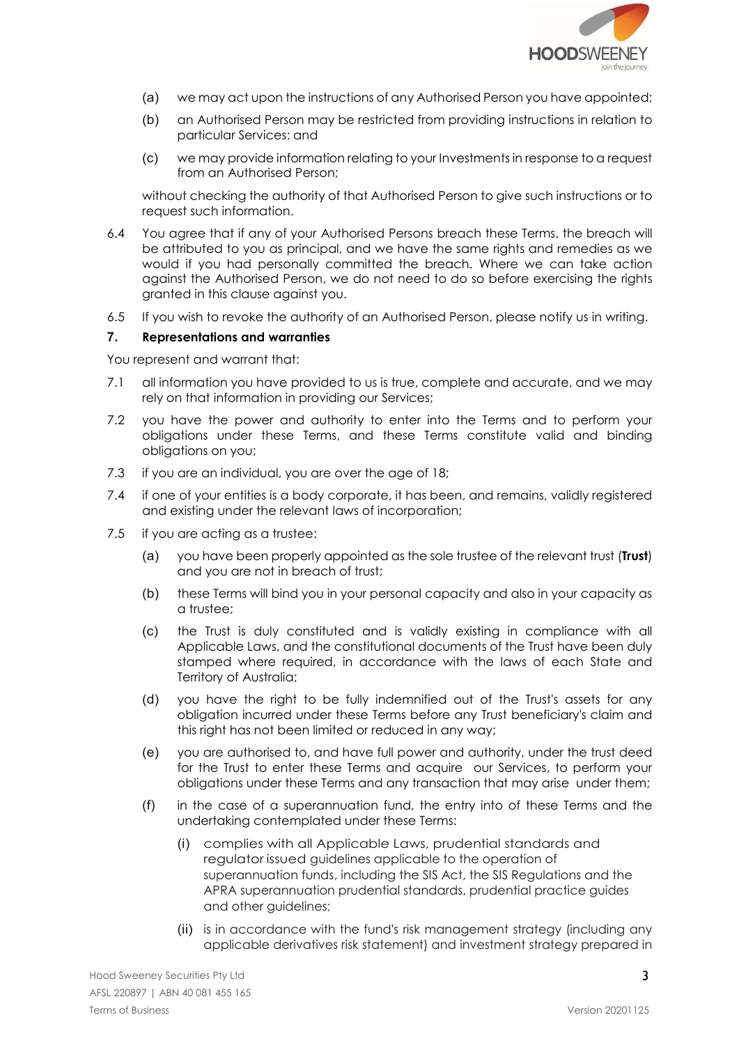

- (a) we may act upon the instructions of any Authorised Person you have appointed;
- (b) an Authorised Person may be restricted from providing instructions in relation to particular Services: and
- (c) we may provide information relating to your Investments in response to a request from an Authorised Person;

without checking the authority of that Authorised Person to give such instructions or to request such information.

- 6.4 You agree that if any of your Authorised Persons breach these Terms, the breach will be attributed to you as principal, and we have the same rights and remedies as we would if you had personally committed the breach. Where we can take action against the Authorised Person, we do not need to do so before exercising the rights granted in this clause against you.
- 6.5 If you wish to revoke the authority of an Authorised Person, please notify us in writing.

## 7. Representations and warranties

You represent and warrant that:

- 7.1 all information you have provided to us is true, complete and accurate, and we may rely on that information in providing our Services;
- 7.2 you have the power and authority to enter into the Terms and to perform your obligations under these Terms, and these Terms constitute valid and binding obligations on you;
- 7.3 if you are an individual, you are over the age of 18;
- 7.4 if one of your entities is a body corporate, it has been, and remains, validly registered and existing under the relevant laws of incorporation;
- 7.5 if you are acting as a trustee:
	- (a) you have been properly appointed as the sole trustee of the relevant trust (Trust) and you are not in breach of trust;
	- (b) these Terms will bind you in your personal capacity and also in your capacity as a trustee;
	- (c) the Trust is duly constituted and is validly existing in compliance with all Applicable Laws, and the constitutional documents of the Trust have been duly stamped where required, in accordance with the laws of each State and Territory of Australia;
	- (d) you have the right to be fully indemnified out of the Trust's assets for any obligation incurred under these Terms before any Trust beneficiary's claim and this right has not been limited or reduced in any way;
	- (e) you are authorised to, and have full power and authority, under the trust deed for the Trust to enter these Terms and acquire our Services, to perform your obligations under these Terms and any transaction that may arise under them;
	- (f) in the case of a superannuation fund, the entry into of these Terms and the undertaking contemplated under these Terms:
		- (i) complies with all Applicable Laws, prudential standards and regulator issued guidelines applicable to the operation of superannuation funds, including the SIS Act, the SIS Regulations and the APRA superannuation prudential standards, prudential practice guides and other guidelines;
		- (ii) is in accordance with the fund's risk management strategy (including any applicable derivatives risk statement) and investment strategy prepared in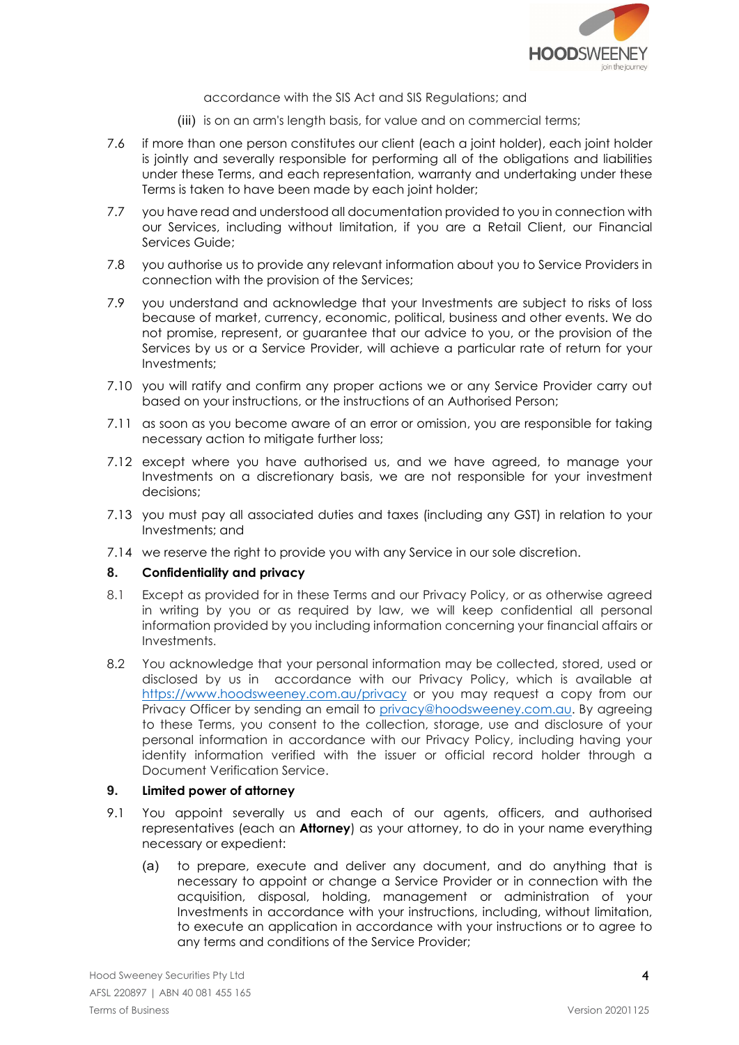

accordance with the SIS Act and SIS Regulations; and

- (iii) is on an arm's length basis, for value and on commercial terms;
- 7.6 if more than one person constitutes our client (each a joint holder), each joint holder is jointly and severally responsible for performing all of the obligations and liabilities under these Terms, and each representation, warranty and undertaking under these Terms is taken to have been made by each joint holder;
- 7.7 you have read and understood all documentation provided to you in connection with our Services, including without limitation, if you are a Retail Client, our Financial Services Guide;
- 7.8 you authorise us to provide any relevant information about you to Service Providers in connection with the provision of the Services;
- 7.9 you understand and acknowledge that your Investments are subject to risks of loss because of market, currency, economic, political, business and other events. We do not promise, represent, or guarantee that our advice to you, or the provision of the Services by us or a Service Provider, will achieve a particular rate of return for your Investments;
- 7.10 you will ratify and confirm any proper actions we or any Service Provider carry out based on your instructions, or the instructions of an Authorised Person;
- 7.11 as soon as you become aware of an error or omission, you are responsible for taking necessary action to mitigate further loss;
- 7.12 except where you have authorised us, and we have agreed, to manage your Investments on a discretionary basis, we are not responsible for your investment decisions;
- 7.13 you must pay all associated duties and taxes (including any GST) in relation to your Investments; and
- 7.14 we reserve the right to provide you with any Service in our sole discretion.

### 8. Confidentiality and privacy

- 8.1 Except as provided for in these Terms and our Privacy Policy, or as otherwise agreed in writing by you or as required by law, we will keep confidential all personal information provided by you including information concerning your financial affairs or Investments.
- 8.2 You acknowledge that your personal information may be collected, stored, used or disclosed by us in accordance with our Privacy Policy, which is available at https://www.hoodsweeney.com.au/privacy or you may request a copy from our Privacy Officer by sending an email to privacy@hoodsweeney.com.au. By agreeing to these Terms, you consent to the collection, storage, use and disclosure of your personal information in accordance with our Privacy Policy, including having your identity information verified with the issuer or official record holder through a Document Verification Service.

### 9. Limited power of attorney

- 9.1 You appoint severally us and each of our agents, officers, and authorised representatives (each an **Attorney**) as your attorney, to do in your name everything necessary or expedient:
	- (a) to prepare, execute and deliver any document, and do anything that is necessary to appoint or change a Service Provider or in connection with the acquisition, disposal, holding, management or administration of your Investments in accordance with your instructions, including, without limitation, to execute an application in accordance with your instructions or to agree to any terms and conditions of the Service Provider;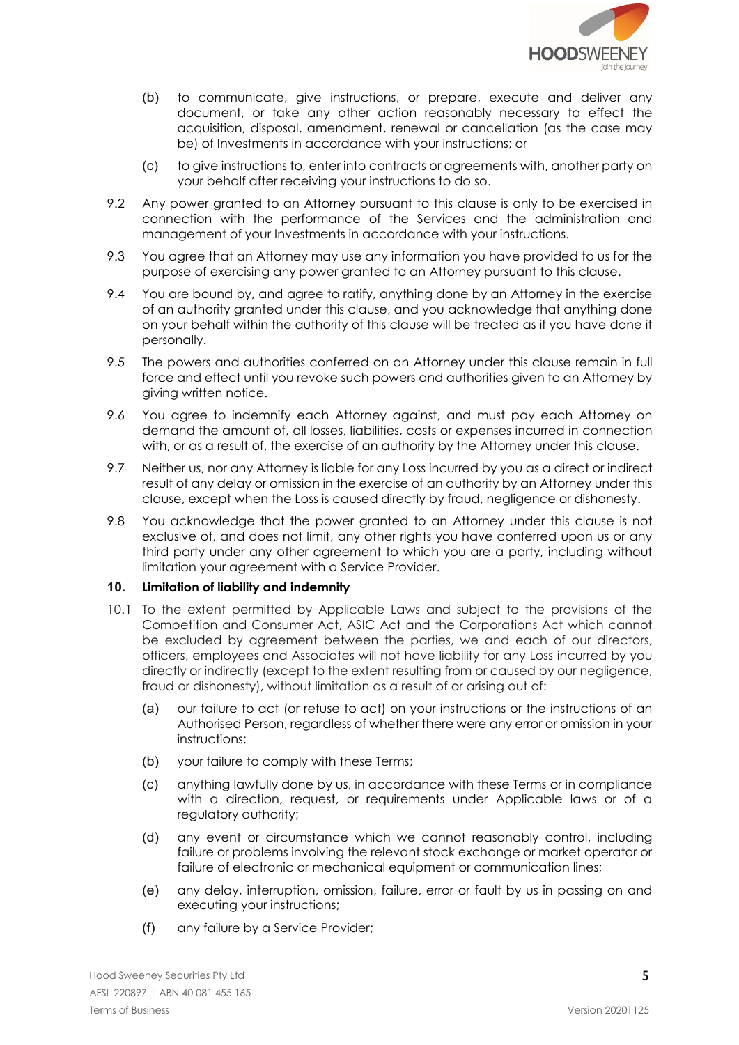

- (b) to communicate, give instructions, or prepare, execute and deliver any document, or take any other action reasonably necessary to effect the acquisition, disposal, amendment, renewal or cancellation (as the case may be) of Investments in accordance with your instructions; or
- (c) to give instructions to, enter into contracts or agreements with, another party on your behalf after receiving your instructions to do so.
- 9.2 Any power granted to an Attorney pursuant to this clause is only to be exercised in connection with the performance of the Services and the administration and management of your Investments in accordance with your instructions.
- 9.3 You agree that an Attorney may use any information you have provided to us for the purpose of exercising any power granted to an Attorney pursuant to this clause.
- 9.4 You are bound by, and agree to ratify, anything done by an Attorney in the exercise of an authority granted under this clause, and you acknowledge that anything done on your behalf within the authority of this clause will be treated as if you have done it personally.
- 9.5 The powers and authorities conferred on an Attorney under this clause remain in full force and effect until you revoke such powers and authorities given to an Attorney by giving written notice.
- 9.6 You agree to indemnify each Attorney against, and must pay each Attorney on demand the amount of, all losses, liabilities, costs or expenses incurred in connection with, or as a result of, the exercise of an authority by the Attorney under this clause.
- 9.7 Neither us, nor any Attorney is liable for any Loss incurred by you as a direct or indirect result of any delay or omission in the exercise of an authority by an Attorney under this clause, except when the Loss is caused directly by fraud, negligence or dishonesty.
- 9.8 You acknowledge that the power granted to an Attorney under this clause is not exclusive of, and does not limit, any other rights you have conferred upon us or any third party under any other agreement to which you are a party, including without limitation your agreement with a Service Provider.

### 10. Limitation of liability and indemnity

- 10.1 To the extent permitted by Applicable Laws and subject to the provisions of the Competition and Consumer Act, ASIC Act and the Corporations Act which cannot be excluded by agreement between the parties, we and each of our directors, officers, employees and Associates will not have liability for any Loss incurred by you directly or indirectly (except to the extent resulting from or caused by our negligence, fraud or dishonesty), without limitation as a result of or arising out of:
	- (a) our failure to act (or refuse to act) on your instructions or the instructions of an Authorised Person, regardless of whether there were any error or omission in your instructions;
	- (b) your failure to comply with these Terms;
	- (c) anything lawfully done by us, in accordance with these Terms or in compliance with a direction, request, or requirements under Applicable laws or of a regulatory authority;
	- (d) any event or circumstance which we cannot reasonably control, including failure or problems involving the relevant stock exchange or market operator or failure of electronic or mechanical equipment or communication lines;
	- (e) any delay, interruption, omission, failure, error or fault by us in passing on and executing your instructions;
	- (f) any failure by a Service Provider;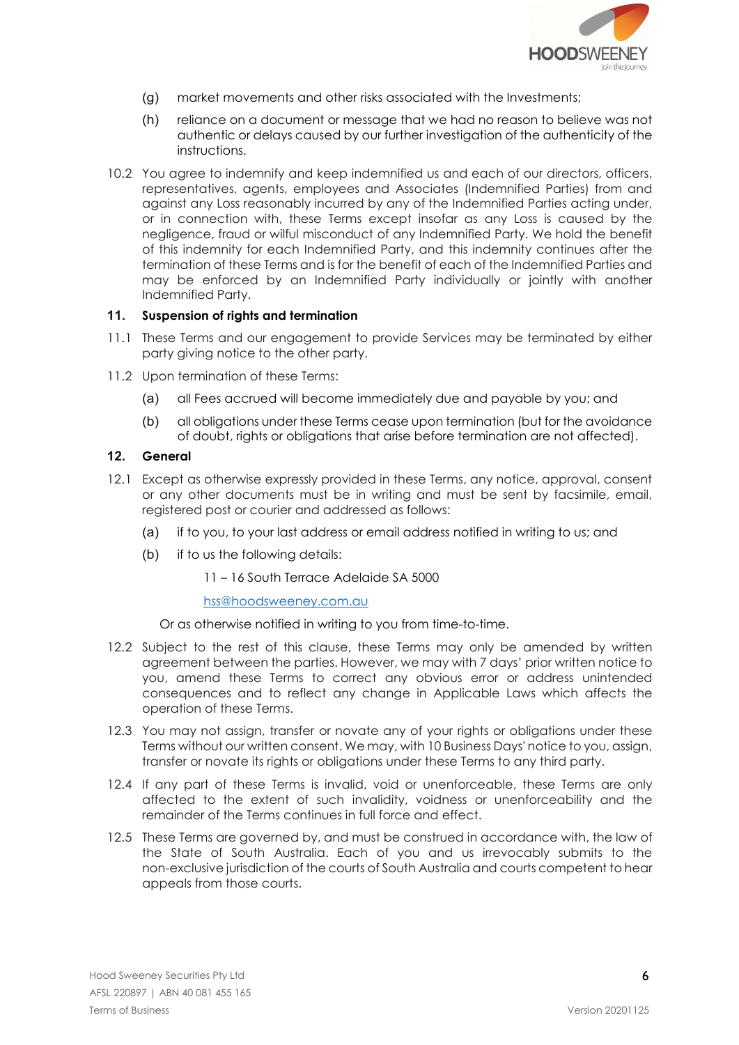

- (g) market movements and other risks associated with the Investments;
- (h) reliance on a document or message that we had no reason to believe was not authentic or delays caused by our further investigation of the authenticity of the instructions.
- 10.2 You agree to indemnify and keep indemnified us and each of our directors, officers, representatives, agents, employees and Associates (Indemnified Parties) from and against any Loss reasonably incurred by any of the Indemnified Parties acting under, or in connection with, these Terms except insofar as any Loss is caused by the negligence, fraud or wilful misconduct of any Indemnified Party. We hold the benefit of this indemnity for each Indemnified Party, and this indemnity continues after the termination of these Terms and is for the benefit of each of the Indemnified Parties and may be enforced by an Indemnified Party individually or jointly with another Indemnified Party.

## 11. Suspension of rights and termination

- 11.1 These Terms and our engagement to provide Services may be terminated by either party giving notice to the other party.
- 11.2 Upon termination of these Terms:
	- (a) all Fees accrued will become immediately due and payable by you; and
	- (b) all obligations under these Terms cease upon termination (but for the avoidance of doubt, rights or obligations that arise before termination are not affected).

## 12. General

- 12.1 Except as otherwise expressly provided in these Terms, any notice, approval, consent or any other documents must be in writing and must be sent by facsimile, email, registered post or courier and addressed as follows:
	- (a) if to you, to your last address or email address notified in writing to us; and
	- (b) if to us the following details:

11 – 16 South Terrace Adelaide SA 5000

hss@hoodsweeney.com.au

Or as otherwise notified in writing to you from time-to-time.

- 12.2 Subject to the rest of this clause, these Terms may only be amended by written agreement between the parties. However, we may with 7 days' prior written notice to you, amend these Terms to correct any obvious error or address unintended consequences and to reflect any change in Applicable Laws which affects the operation of these Terms.
- 12.3 You may not assign, transfer or novate any of your rights or obligations under these Terms without our written consent. We may, with 10 Business Days' notice to you, assign, transfer or novate its rights or obligations under these Terms to any third party.
- 12.4 If any part of these Terms is invalid, void or unenforceable, these Terms are only affected to the extent of such invalidity, voidness or unenforceability and the remainder of the Terms continues in full force and effect.
- 12.5 These Terms are governed by, and must be construed in accordance with, the law of the State of South Australia. Each of you and us irrevocably submits to the non-exclusive jurisdiction of the courts of South Australia and courts competent to hear appeals from those courts.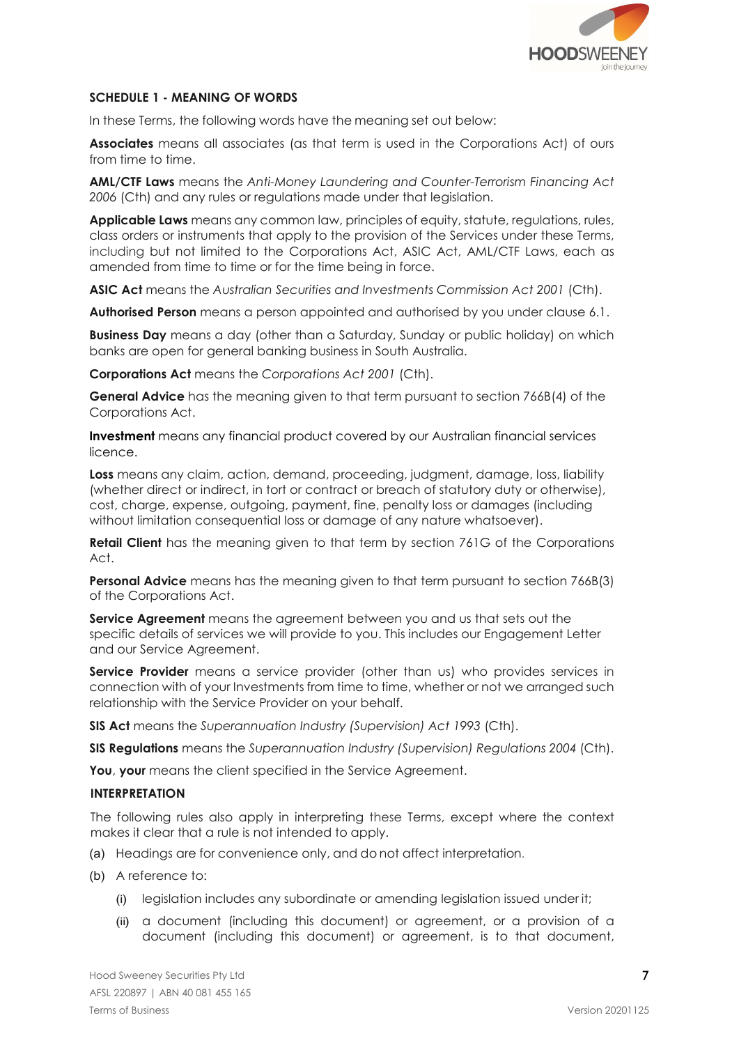

## SCHEDULE 1 - MEANING OF WORDS

In these Terms, the following words have the meaning set out below:

Associates means all associates (as that term is used in the Corporations Act) of ours from time to time.

AML/CTF Laws means the Anti-Money Laundering and Counter-Terrorism Financing Act 2006 (Cth) and any rules or regulations made under that legislation.

Applicable Laws means any common law, principles of equity, statute, regulations, rules, class orders or instruments that apply to the provision of the Services under these Terms, including but not limited to the Corporations Act, ASIC Act, AML/CTF Laws, each as amended from time to time or for the time being in force.

ASIC Act means the Australian Securities and Investments Commission Act 2001 (Cth).

Authorised Person means a person appointed and authorised by you under clause 6.1.

**Business Day** means a day (other than a Saturday, Sunday or public holiday) on which banks are open for general banking business in South Australia.

Corporations Act means the Corporations Act 2001 (Cth).

General Advice has the meaning given to that term pursuant to section 766B(4) of the Corporations Act.

Investment means any financial product covered by our Australian financial services licence.

Loss means any claim, action, demand, proceeding, judgment, damage, loss, liability (whether direct or indirect, in tort or contract or breach of statutory duty or otherwise), cost, charge, expense, outgoing, payment, fine, penalty loss or damages (including without limitation consequential loss or damage of any nature whatsoever).

**Retail Client** has the meaning given to that term by section 761G of the Corporations Act.

**Personal Advice** means has the meaning given to that term pursuant to section 766B(3) of the Corporations Act.

Service Agreement means the agreement between you and us that sets out the specific details of services we will provide to you. This includes our Engagement Letter and our Service Agreement.

Service Provider means a service provider (other than us) who provides services in connection with of your Investments from time to time, whether or not we arranged such relationship with the Service Provider on your behalf.

SIS Act means the Superannuation Industry (Supervision) Act 1993 (Cth).

**SIS Regulations** means the Superannuation Industry (Supervision) Regulations 2004 (Cth).

You, your means the client specified in the Service Agreement.

### INTERPRETATION

The following rules also apply in interpreting these Terms, except where the context makes it clear that a rule is not intended to apply.

- (a) Headings are for convenience only, and do not affect interpretation.
- (b) A reference to:
	- (i) legislation includes any subordinate or amending legislation issued under it;
	- (ii) a document (including this document) or agreement, or a provision of a document (including this document) or agreement, is to that document,